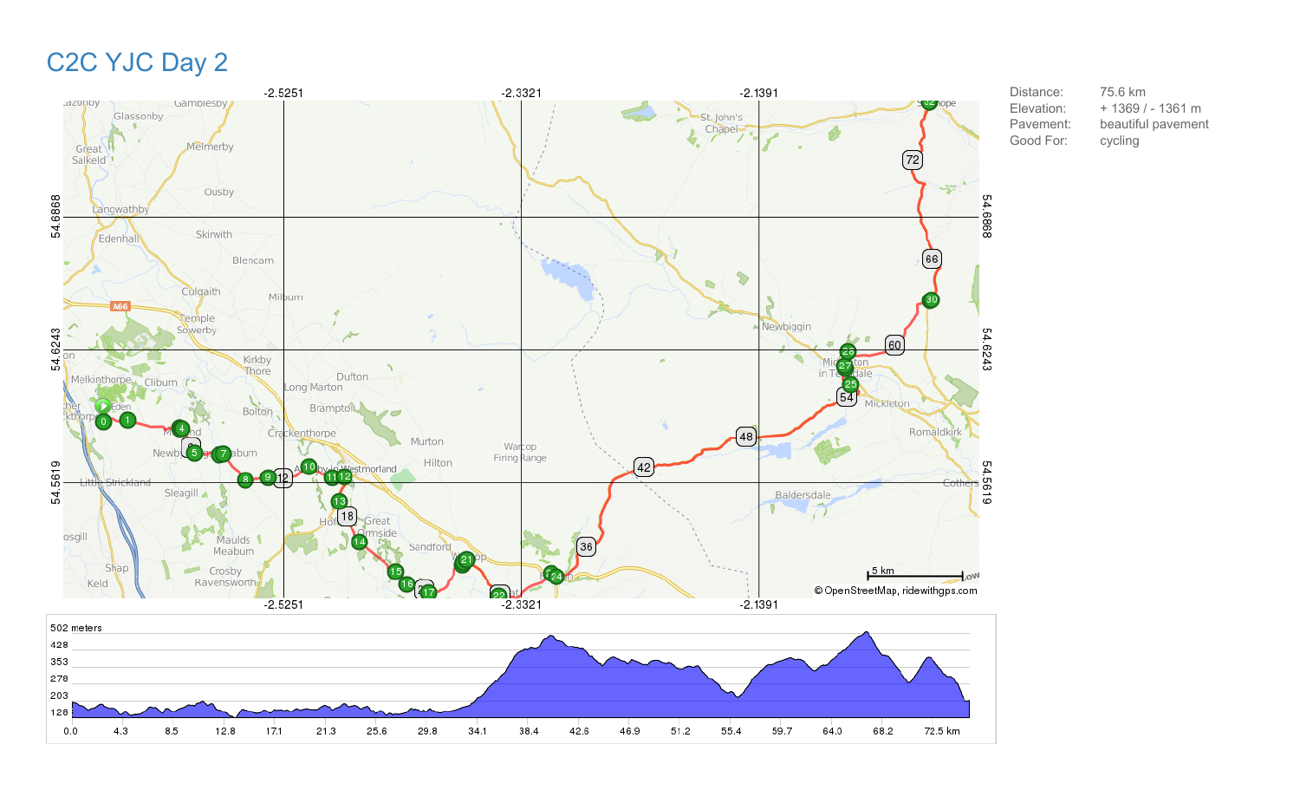# C2C YJC Day 2



Distance: 75.6 km Elevation: + 1369 / - 1361 m Pavement: beautiful pavement Good For: cycling

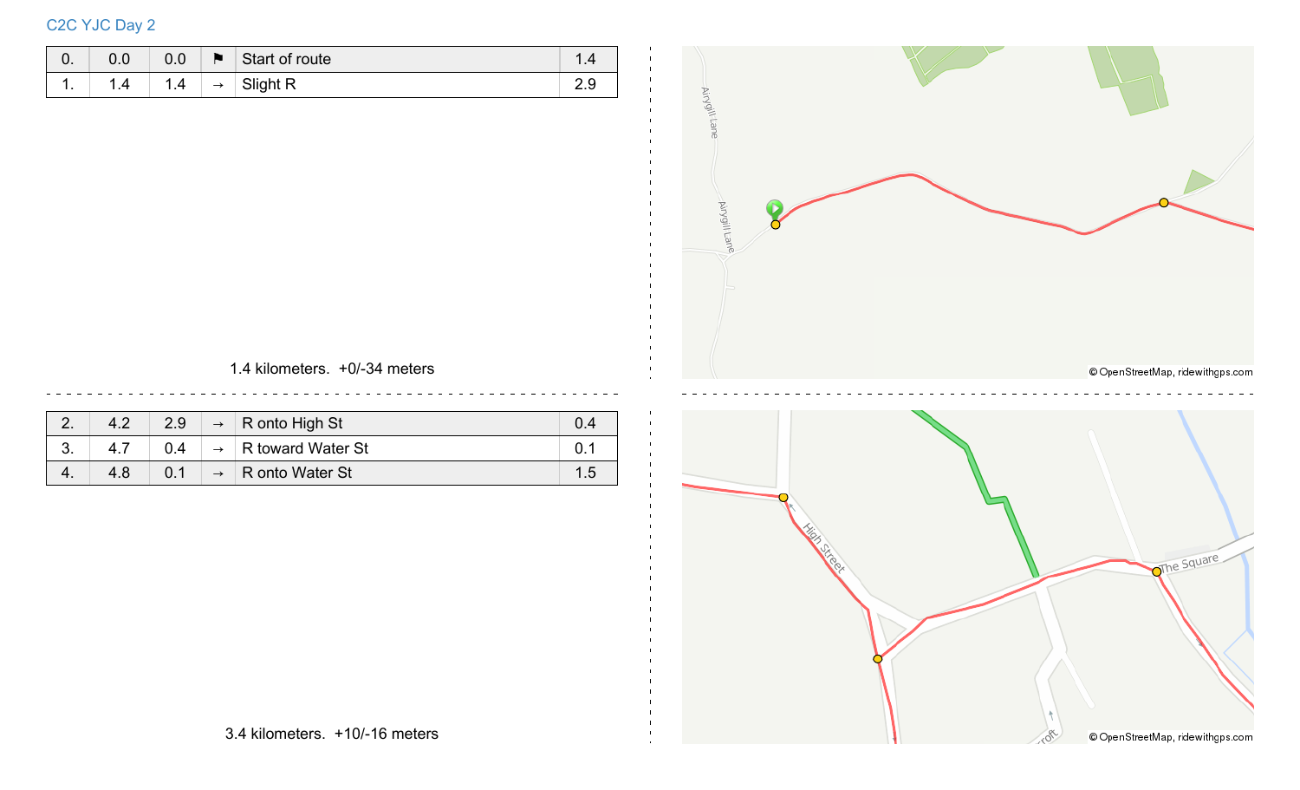## C2C YJC Day 2

| υ.  | 0.0 | 0.0      | м             | Start of route | I .4 |
|-----|-----|----------|---------------|----------------|------|
| . . | 1.4 | И<br>1.4 | $\rightarrow$ | Slight R       | ت.ء  |



1.4 kilometers. +0/-34 meters

| Ź.      | 4.2 | 2.9 | $\rightarrow$ R onto High St |    |
|---------|-----|-----|------------------------------|----|
| ⌒<br>v. |     |     | R toward Water St            |    |
| 4.      | 4.8 |     | R onto Water St              | 15 |

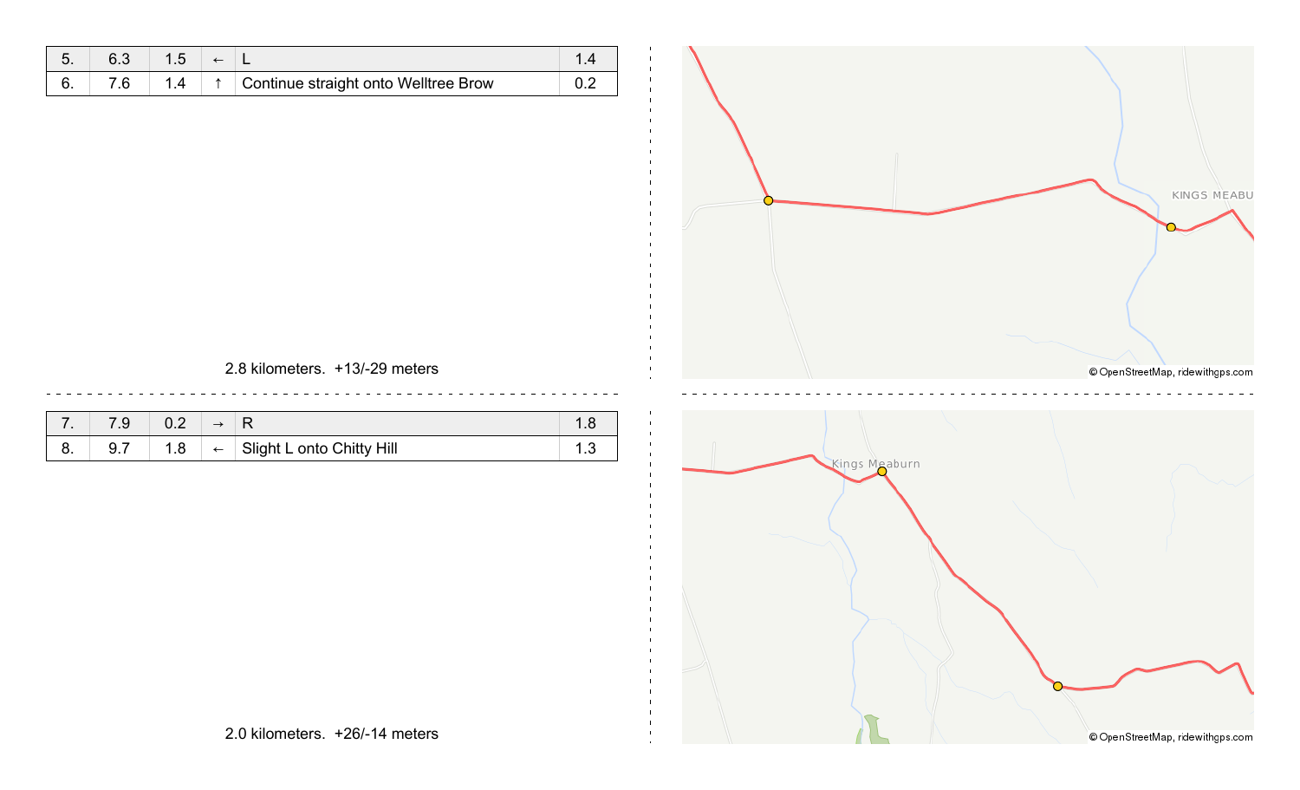|  | ∽ |                                      |  |
|--|---|--------------------------------------|--|
|  |   | Continue straight onto Welltree Brow |  |



#### 2.8 kilometers. +13/-29 meters

| . . |     |    |              |                           |  |
|-----|-----|----|--------------|---------------------------|--|
| v.  | 9.7 | .8 | $\leftarrow$ | Slight L onto Chitty Hill |  |

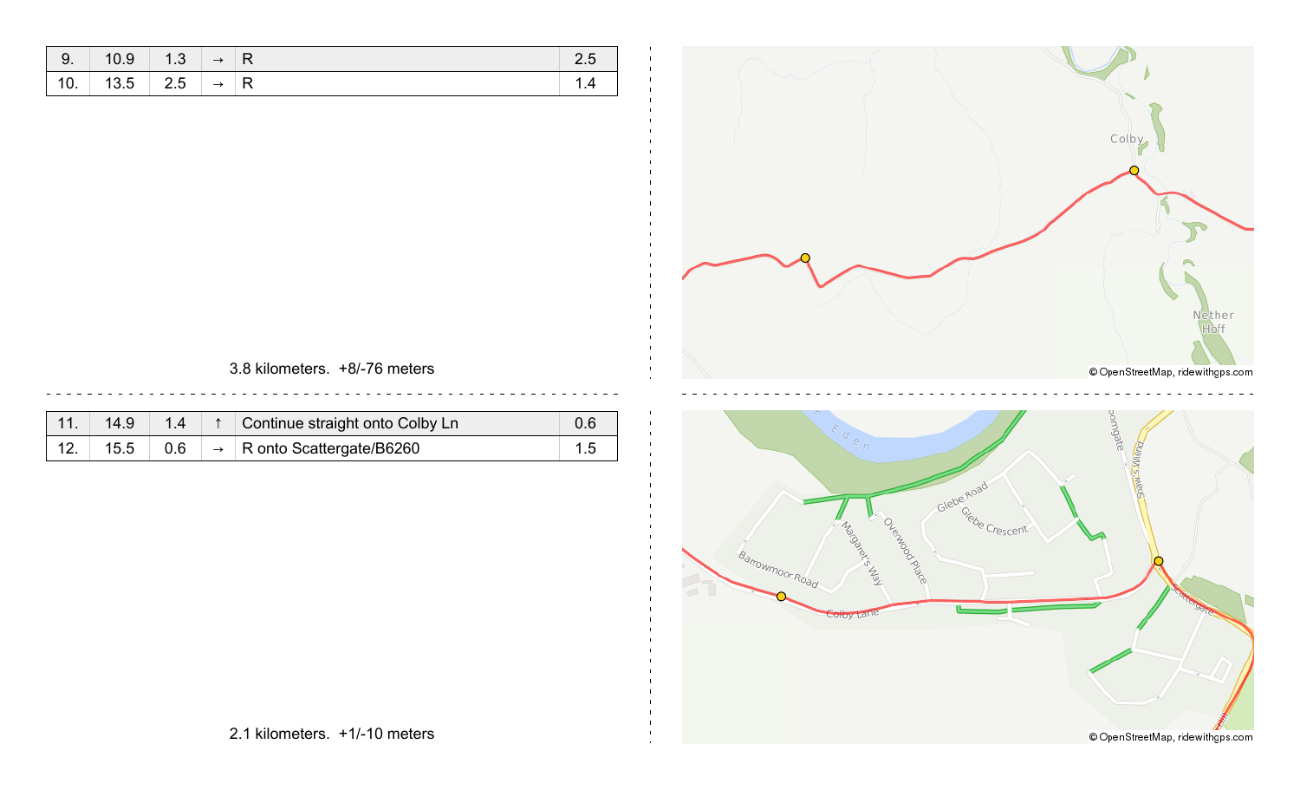| $\vert 9. \vert 10.9 \vert 1.3 \vert \rightarrow \vert R$ |  |  |
|-----------------------------------------------------------|--|--|
| 10.   13.5   2.5   $\rightarrow$   R                      |  |  |



#### 3.8 kilometers. +8/-76 meters

| 14.9 | 1.4 | Continue straight onto Colby Ln        |  |
|------|-----|----------------------------------------|--|
| 15.5 | 0.6 | $\rightarrow$ R onto Scattergate/B6260 |  |

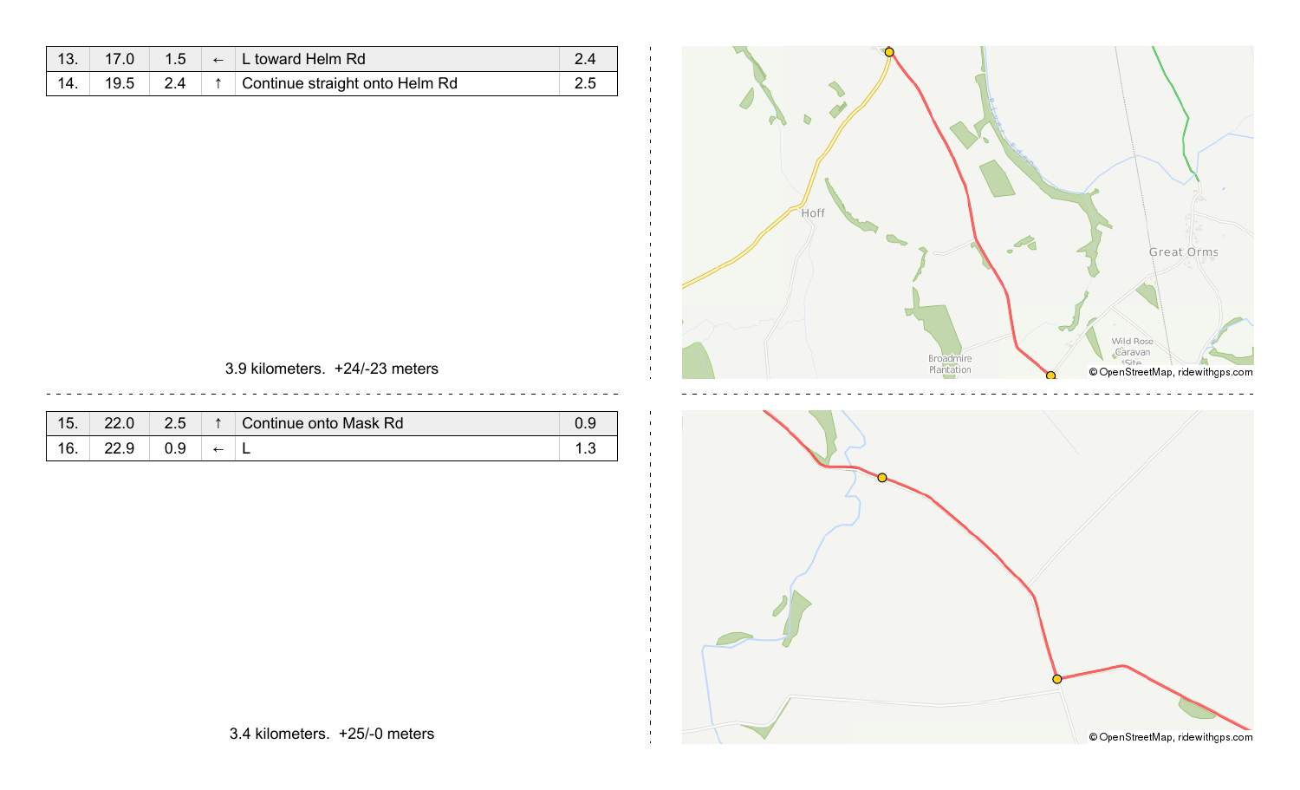|     | 17.0 | 1.5 | $\leftarrow$ L toward Helm Rd  |  |
|-----|------|-----|--------------------------------|--|
| 14. | 19.5 | 2.4 | Continue straight onto Helm Rd |  |



### 3.9 kilometers. +24/-23 meters

| $\overline{ }$<br>O. | ה הה | つに<br>2.J | ∧ | Continue onto Mask Rd | 0.9 |
|----------------------|------|-----------|---|-----------------------|-----|
| ᄼ<br>v.              |      |           |   |                       | ں . |



3.4 kilometers. +25/-0 meters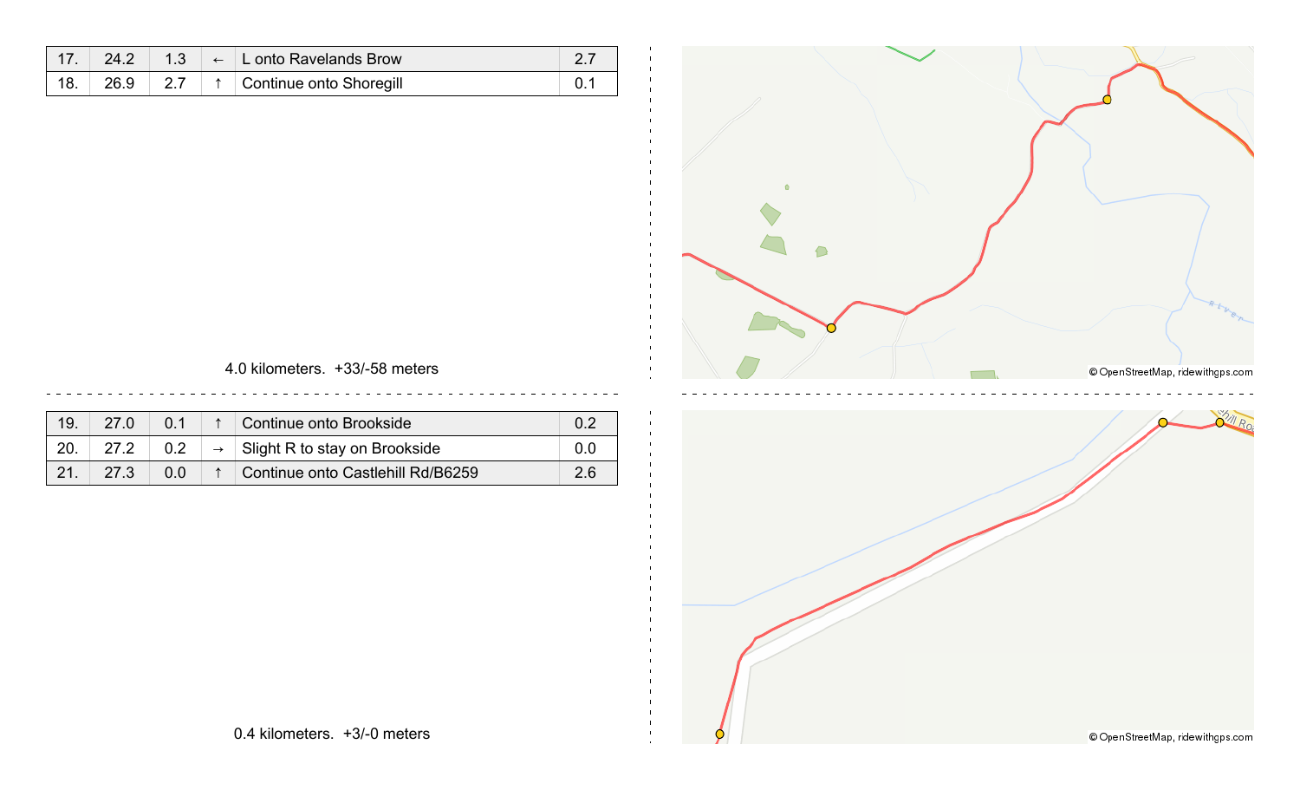|     | 24.2 |  | 1.3 $\leftarrow$ L onto Ravelands Brow |  |
|-----|------|--|----------------------------------------|--|
| 18. | 26.9 |  | ↑ Continue onto Shoregill              |  |



### 4.0 kilometers. +33/-58 meters

| 19. | 27.0            | $\bigcap$ 1    | Continue onto Brookside                     | 0.2 |
|-----|-----------------|----------------|---------------------------------------------|-----|
| 20. |                 |                | $\rightarrow$ Slight R to stay on Brookside | 0.0 |
|     | 27 <sup>3</sup> | 0 <sub>0</sub> | Continue onto Castlehill Rd/B6259           | 2.6 |

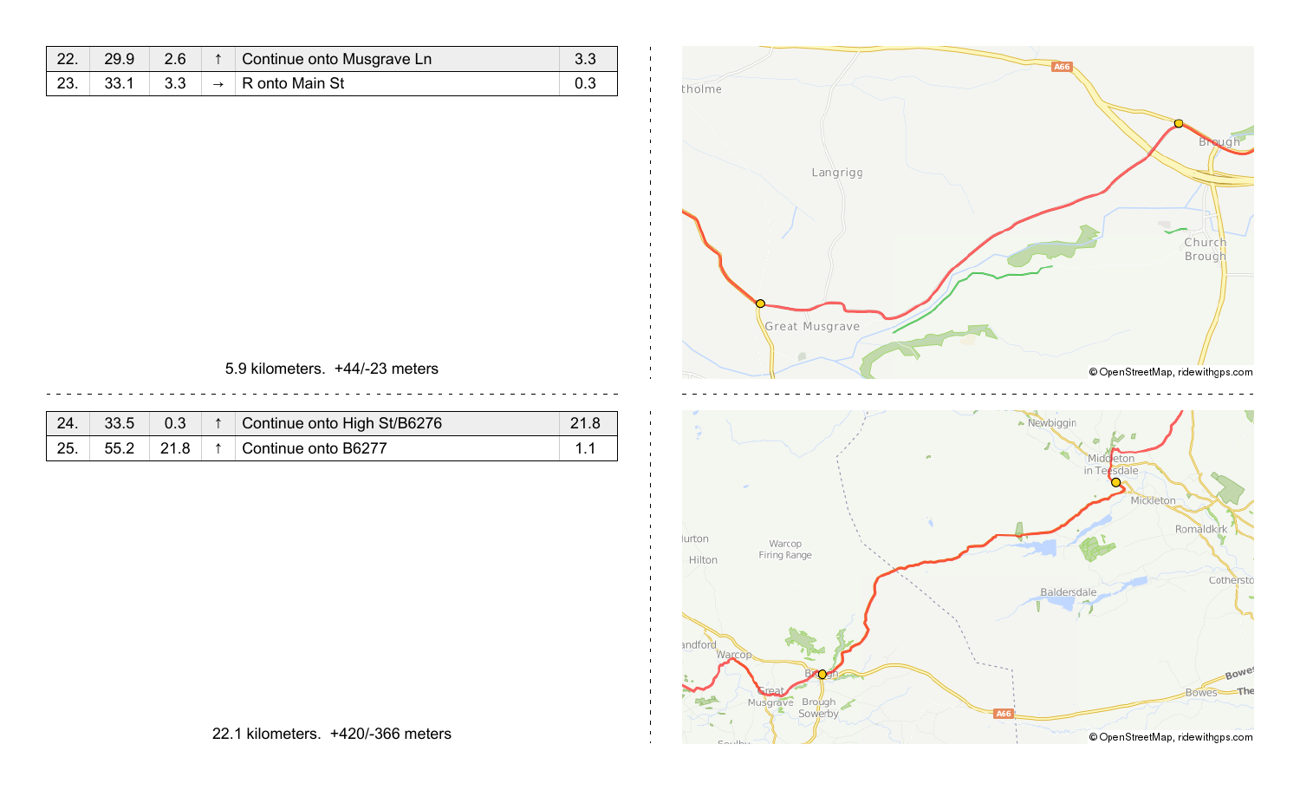| 22. | 29.9 | 2.6 | Continue onto Musgrave Ln    | റ റ |
|-----|------|-----|------------------------------|-----|
| 23. | 33.1 | 3.3 | $\rightarrow$ R onto Main St |     |

 $\mathbf{I}$ 



#### 5.9 kilometers. +44/-23 meters

| 24. | 33.5 |      | Continue onto High St/B6276 | 21.8 |
|-----|------|------|-----------------------------|------|
| 25. | 55.2 | 21.8 | ↑   Continue onto B6277     |      |

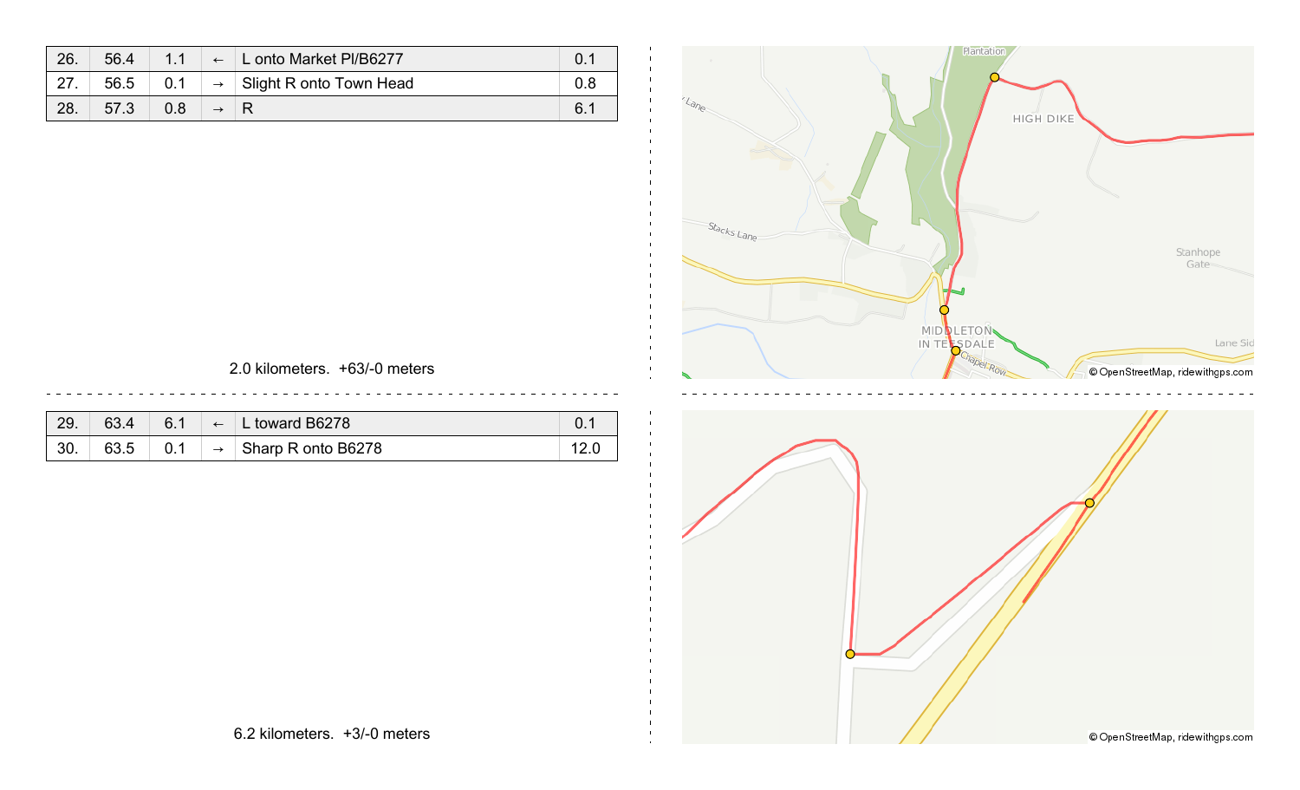| 26. | 56.4 | 11  | $\leftarrow$ L onto Market PI/B6277   |     |
|-----|------|-----|---------------------------------------|-----|
| 27. | 56.5 | 0.1 | $\rightarrow$ Slight R onto Town Head | 0.8 |
| 28. | 57.3 | 0.8 |                                       | 6.1 |



#### 2.0 kilometers. +63/-0 meters

| 29.       |      | 6.1 | $\leftarrow$  | L toward B6278     |  |
|-----------|------|-----|---------------|--------------------|--|
| ാറ<br>JU. | 63.5 | 0.1 | $\rightarrow$ | Sharp R onto B6278 |  |